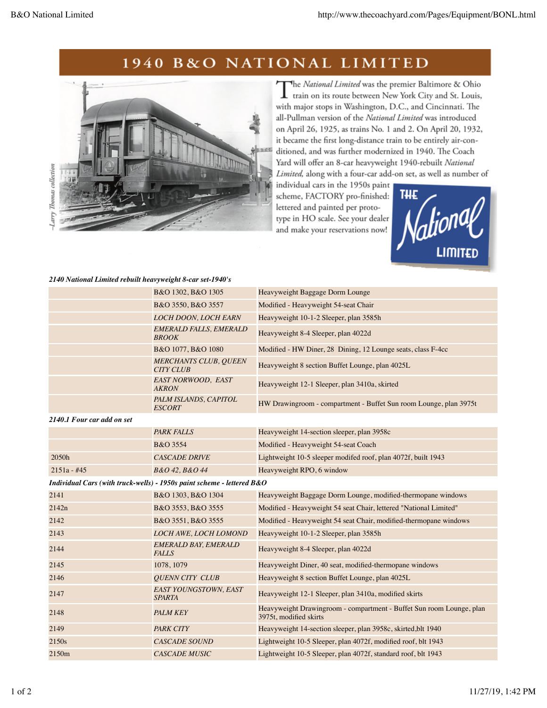## 1940 B&O NATIONAL LIMITED



The National Limited was the premier Baltimore & Ohio T train on its route between New York City and St. Louis, with major stops in Washington, D.C., and Cincinnati. The all-Pullman version of the National Limited was introduced on April 26, 1925, as trains No. 1 and 2. On April 20, 1932, it became the first long-distance train to be entirely air-conditioned, and was further modernized in 1940. The Coach Yard will offer an 8-car heavyweight 1940-rebuilt National Limited, along with a four-car add-on set, as well as number of

individual cars in the 1950s paint scheme, FACTORY pro-finished: lettered and painted per prototype in HO scale. See your dealer and make your reservations now!



## *2140 National Limited rebuilt heavyweight 8-car set-1940's*

|                                                                          | B&O 1302, B&O 1305                               | Heavyweight Baggage Dorm Lounge                                                                |  |  |
|--------------------------------------------------------------------------|--------------------------------------------------|------------------------------------------------------------------------------------------------|--|--|
|                                                                          | B&O 3550, B&O 3557                               | Modified - Heavyweight 54-seat Chair                                                           |  |  |
|                                                                          | <b>LOCH DOON, LOCH EARN</b>                      | Heavyweight 10-1-2 Sleeper, plan 3585h                                                         |  |  |
|                                                                          | <b>EMERALD FALLS, EMERALD</b><br><b>BROOK</b>    | Heavyweight 8-4 Sleeper, plan 4022d                                                            |  |  |
|                                                                          | B&O 1077, B&O 1080                               | Modified - HW Diner, 28 Dining, 12 Lounge seats, class F-4cc                                   |  |  |
|                                                                          | <b>MERCHANTS CLUB, QUEEN</b><br><b>CITY CLUB</b> | Heavyweight 8 section Buffet Lounge, plan 4025L                                                |  |  |
|                                                                          | EAST NORWOOD, EAST<br><b>AKRON</b>               | Heavyweight 12-1 Sleeper, plan 3410a, skirted                                                  |  |  |
|                                                                          | PALM ISLANDS, CAPITOL<br><b>ESCORT</b>           | HW Drawingroom - compartment - Buffet Sun room Lounge, plan 3975t                              |  |  |
| 2140.1 Four car add on set                                               |                                                  |                                                                                                |  |  |
|                                                                          | <b>PARK FALLS</b>                                | Heavyweight 14-section sleeper, plan 3958c                                                     |  |  |
|                                                                          | B&O 3554                                         | Modified - Heavyweight 54-seat Coach                                                           |  |  |
| 2050h                                                                    | <b>CASCADE DRIVE</b>                             | Lightweight 10-5 sleeper modifed roof, plan 4072f, built 1943                                  |  |  |
| $2151a - #45$                                                            | B&O 42, B&O 44                                   | Heavyweight RPO, 6 window                                                                      |  |  |
| Individual Cars (with truck-wells) - 1950s paint scheme - lettered $B&O$ |                                                  |                                                                                                |  |  |
| 2141                                                                     | B&O 1303, B&O 1304                               | Heavyweight Baggage Dorm Lounge, modified-thermopane windows                                   |  |  |
| 2142n                                                                    | B&O 3553, B&O 3555                               | Modified - Heavyweight 54 seat Chair, lettered "National Limited"                              |  |  |
| 2142                                                                     | B&O 3551, B&O 3555                               | Modified - Heavyweight 54 seat Chair, modified-thermopane windows                              |  |  |
| 2143                                                                     | <b>LOCH AWE, LOCH LOMOND</b>                     | Heavyweight 10-1-2 Sleeper, plan 3585h                                                         |  |  |
| 2144                                                                     | <b>EMERALD BAY, EMERALD</b><br><b>FALLS</b>      | Heavyweight 8-4 Sleeper, plan 4022d                                                            |  |  |
| 2145                                                                     | 1078, 1079                                       | Heavyweight Diner, 40 seat, modified-thermopane windows                                        |  |  |
| 2146                                                                     | <b>QUENN CITY CLUB</b>                           | Heavyweight 8 section Buffet Lounge, plan 4025L                                                |  |  |
| 2147                                                                     | EAST YOUNGSTOWN, EAST<br><b>SPARTA</b>           | Heavyweight 12-1 Sleeper, plan 3410a, modified skirts                                          |  |  |
| 2148                                                                     | <b>PALM KEY</b>                                  | Heavyweight Drawingroom - compartment - Buffet Sun room Lounge, plan<br>3975t, modified skirts |  |  |
| 2149                                                                     | <b>PARK CITY</b>                                 | Heavyweight 14-section sleeper, plan 3958c, skirted, blt 1940                                  |  |  |
| 2150s                                                                    | <b>CASCADE SOUND</b>                             | Lightweight 10-5 Sleeper, plan 4072f, modified roof, blt 1943                                  |  |  |
| 2150m                                                                    | <b>CASCADE MUSIC</b>                             | Lightweight 10-5 Sleeper, plan 4072f, standard roof, blt 1943                                  |  |  |